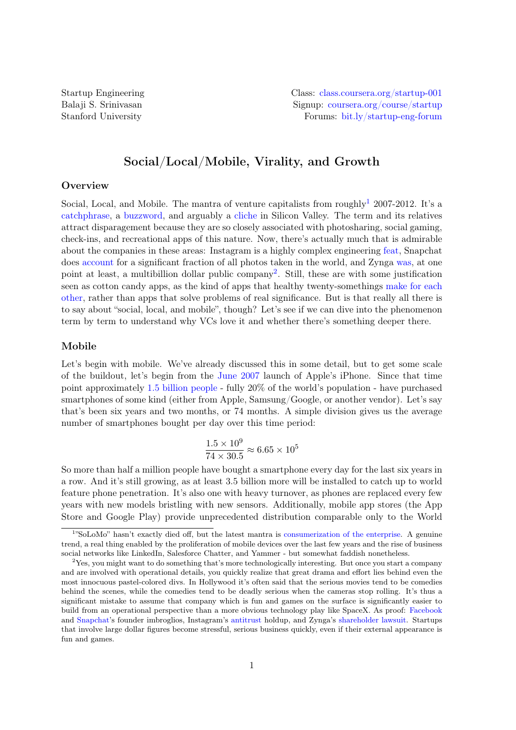# Social/Local/Mobile, Virality, and Growth

## **Overview**

Social, Local, and Mobile. The mantra of venture capitalists from roughly<sup>[1](#page-0-0)</sup> 2007-2012. It's a [catchphrase,](http://mashable.com/2013/04/30/solomo/) a [buzzword,](http://schott.blogs.nytimes.com/2011/02/22/solomo/) and arguably a [cliche](http://goo.gl/qvPG87) in Silicon Valley. The term and its relatives attract disparagement because they are so closely associated with photosharing, social gaming, check-ins, and recreational apps of this nature. Now, there's actually much that is admirable about the companies in these areas: Instagram is a highly complex engineering [feat,](http://instagram-engineering.tumblr.com/post/13649370142/what-powers-instagram-hundreds-of-instances-dozens-of) Snapchat does [account](http://www.digitaltrends.com/social-media/more-people-share-photos-on-snapchat-than-instagram/) for a significant fraction of all photos taken in the world, and Zynga [was,](http://venturebeat.com/2011/12/12/zynga-history/) at one point at least, a multibillion dollar public company<sup>[2](#page-0-1)</sup>. Still, these are with some justification seen as cotton candy apps, as the kind of apps that healthy twenty-somethings [make for each](http://www.washingtonpost.com/blogs/wonkblog/wp/2013/05/27/is-silicon-valley-only-interested-in-the-problems-of-twentysomethings/) [other,](http://www.washingtonpost.com/blogs/wonkblog/wp/2013/05/27/is-silicon-valley-only-interested-in-the-problems-of-twentysomethings/) rather than apps that solve problems of real significance. But is that really all there is to say about "social, local, and mobile", though? Let's see if we can dive into the phenomenon term by term to understand why VCs love it and whether there's something deeper there.

## Mobile

Let's begin with mobile. We've already discussed this in some detail, but to get some scale of the buildout, let's begin from the [June 2007](http://money.cnn.com/2007/06/29/technology/iphone/) launch of Apple's iPhone. Since that time point approximately [1.5 billion people](http://www.slideshare.net/kleinerperkins/kpcb-internet-trends-2013) - fully 20% of the world's population - have purchased smartphones of some kind (either from Apple, Samsung/Google, or another vendor). Let's say that's been six years and two months, or 74 months. A simple division gives us the average number of smartphones bought per day over this time period:

$$
\frac{1.5 \times 10^9}{74 \times 30.5} \approx 6.65 \times 10^5
$$

So more than half a million people have bought a smartphone every day for the last six years in a row. And it's still growing, as at least 3.5 billion more will be installed to catch up to world feature phone penetration. It's also one with heavy turnover, as phones are replaced every few years with new models bristling with new sensors. Additionally, mobile app stores (the App Store and Google Play) provide unprecedented distribution comparable only to the World

<span id="page-0-0"></span><sup>1</sup> "SoLoMo" hasn't exactly died off, but the latest mantra is [consumerization of the enterprise.](http://www.zdnet.com/consumerization-byod-and-mdm-what-you-need-to-know-7000010205) A genuine trend, a real thing enabled by the proliferation of mobile devices over the last few years and the rise of business social networks like LinkedIn, Salesforce Chatter, and Yammer - but somewhat faddish nonetheless.

<span id="page-0-1"></span> $2$ Yes, you might want to do something that's more technologically interesting. But once you start a company and are involved with operational details, you quickly realize that great drama and effort lies behind even the most innocuous pastel-colored divs. In Hollywood it's often said that the serious movies tend to be comedies behind the scenes, while the comedies tend to be deadly serious when the cameras stop rolling. It's thus a significant mistake to assume that company which is fun and games on the surface is significantly easier to build from an operational perspective than a more obvious technology play like SpaceX. As proof: [Facebook](http://www.thesocialnetwork-movie.com/) and [Snapchat'](http://techcrunch.com/2013/03/07/snapchat-lawsui/)s founder imbroglios, Instagram's [antitrust](http://www.bloomberg.com/news/2012-08-22/facebook-wins-antitrust-approval-for-instagram-purchase.html) holdup, and Zynga's [shareholder lawsuit.](http://www.bizjournals.com/sanfrancisco/blog/2013/06/zynga-shareholder-lawsuit-on-deck.html) Startups that involve large dollar figures become stressful, serious business quickly, even if their external appearance is fun and games.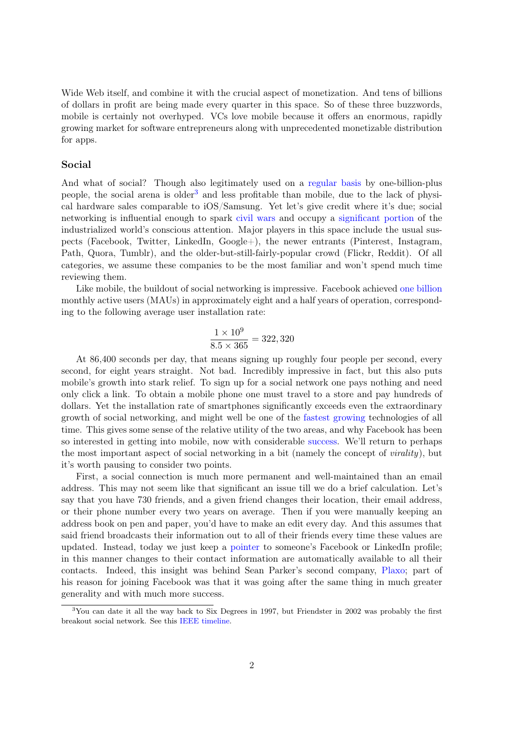Wide Web itself, and combine it with the crucial aspect of monetization. And tens of billions of dollars in profit are being made every quarter in this space. So of these three buzzwords, mobile is certainly not overhyped. VCs love mobile because it offers an enormous, rapidly growing market for software entrepreneurs along with unprecedented monetizable distribution for apps.

#### Social

And what of social? Though also legitimately used on a [regular basis](http://techcrunch.com/2013/05/01/facebook-sees-26-year-over-year-growth-in-daus-23-in-maus-mobile-54/) by one-billion-plus people, the social arena is older<sup>[3](#page-1-0)</sup> and less profitable than mobile, due to the lack of physical hardware sales comparable to iOS/Samsung. Yet let's give credit where it's due; social networking is influential enough to spark [civil wars](http://www.policymic.com/articles/10642/twitter-revolution-how-the-arab-spring-was-helped-by-social-media) and occupy a [significant portion](http://mashable.com/2012/11/28/social-media-time/) of the industrialized world's conscious attention. Major players in this space include the usual suspects (Facebook, Twitter, LinkedIn, Google+), the newer entrants (Pinterest, Instagram, Path, Quora, Tumblr), and the older-but-still-fairly-popular crowd (Flickr, Reddit). Of all categories, we assume these companies to be the most familiar and won't spend much time reviewing them.

Like mobile, the buildout of social networking is impressive. Facebook achieved [one billion](http://money.cnn.com/2012/10/04/technology/facebook-billion-users/index.html) monthly active users (MAUs) in approximately eight and a half years of operation, corresponding to the following average user installation rate:

$$
\frac{1 \times 10^9}{8.5 \times 365} = 322,320
$$

At 86,400 seconds per day, that means signing up roughly four people per second, every second, for eight years straight. Not bad. Incredibly impressive in fact, but this also puts mobile's growth into stark relief. To sign up for a social network one pays nothing and need only click a link. To obtain a mobile phone one must travel to a store and pay hundreds of dollars. Yet the installation rate of smartphones significantly exceeds even the extraordinary growth of social networking, and might well be one of the [fastest growing](http://www.technologyreview.com/news/427787/are-smart-phones-spreading-faster-than-any-technology-in-human-history) technologies of all time. This gives some sense of the relative utility of the two areas, and why Facebook has been so interested in getting into mobile, now with considerable [success.](http://hereandnow.wbur.org/2013/08/01/facebook-mobile-advertising) We'll return to perhaps the most important aspect of social networking in a bit (namely the concept of virality), but it's worth pausing to consider two points.

First, a social connection is much more permanent and well-maintained than an email address. This may not seem like that significant an issue till we do a brief calculation. Let's say that you have 730 friends, and a given friend changes their location, their email address, or their phone number every two years on average. Then if you were manually keeping an address book on pen and paper, you'd have to make an edit every day. And this assumes that said friend broadcasts their information out to all of their friends every time these values are updated. Instead, today we just keep a [pointer](http://en.wikipedia.org/wiki/Pointer_(computer_programming)) to someone's Facebook or LinkedIn profile; in this manner changes to their contact information are automatically available to all their contacts. Indeed, this insight was behind Sean Parker's second company, [Plaxo;](http://en.wikipedia.org/wiki/Plaxo) part of his reason for joining Facebook was that it was going after the same thing in much greater generality and with much more success.

<span id="page-1-0"></span> $3$ You can date it all the way back to Six Degrees in 1997, but Friendster in 2002 was probably the first breakout social network. See this [IEEE timeline.](http://www.ieeeghn.org/wiki/index.php/Evolution_of_Social_Networking)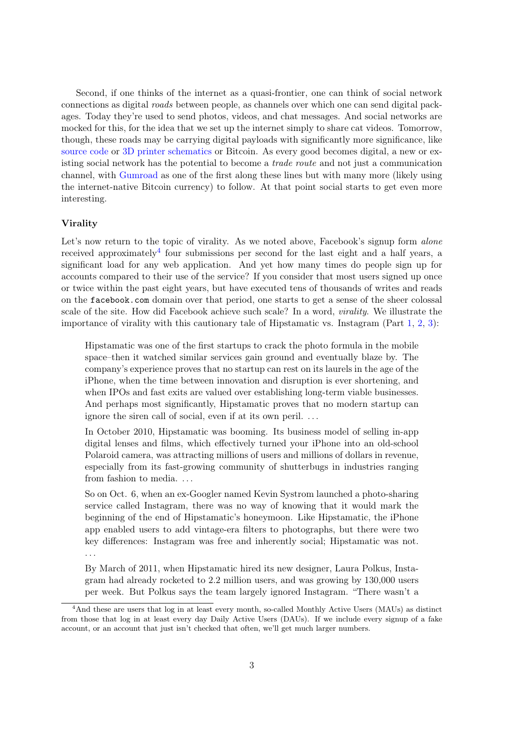Second, if one thinks of the internet as a quasi-frontier, one can think of social network connections as digital roads between people, as channels over which one can send digital packages. Today they're used to send photos, videos, and chat messages. And social networks are mocked for this, for the idea that we set up the internet simply to share cat videos. Tomorrow, though, these roads may be carrying digital payloads with significantly more significance, like [source code](http://github.com) or [3D printer schematics](http://defcad.com/) or Bitcoin. As every good becomes digital, a new or existing social network has the potential to become a trade route and not just a communication channel, with [Gumroad](https://gumroad.com/) as one of the first along these lines but with many more (likely using the internet-native Bitcoin currency) to follow. At that point social starts to get even more interesting.

### Virality

Let's now return to the topic of virality. As we noted above, Facebook's signup form alone received approximately<sup>[4](#page-2-0)</sup> four submissions per second for the last eight and a half years, a significant load for any web application. And yet how many times do people sign up for accounts compared to their use of the service? If you consider that most users signed up once or twice within the past eight years, but have executed tens of thousands of writes and reads on the facebook.com domain over that period, one starts to get a sense of the sheer colossal scale of the site. How did Facebook achieve such scale? In a word, virality. We illustrate the importance of virality with this cautionary tale of Hipstamatic vs. Instagram (Part [1,](http://www.fastcompany.com/3001994/no-filter-inside-hipstamatics-lost-year-searching-next-killer-social-app) [2,](http://www.fastcompany.com/3002034/no-filter-how-instagram-caused-hipstamatic-lose-focus-and-gamble-social) [3\)](http://www.fastcompany.com/3002074/no-filter-how-hipstamatic-pivoted-flat-spin):

Hipstamatic was one of the first startups to crack the photo formula in the mobile space–then it watched similar services gain ground and eventually blaze by. The company's experience proves that no startup can rest on its laurels in the age of the iPhone, when the time between innovation and disruption is ever shortening, and when IPOs and fast exits are valued over establishing long-term viable businesses. And perhaps most significantly, Hipstamatic proves that no modern startup can ignore the siren call of social, even if at its own peril. . . .

In October 2010, Hipstamatic was booming. Its business model of selling in-app digital lenses and films, which effectively turned your iPhone into an old-school Polaroid camera, was attracting millions of users and millions of dollars in revenue, especially from its fast-growing community of shutterbugs in industries ranging from fashion to media. . . .

So on Oct. 6, when an ex-Googler named Kevin Systrom launched a photo-sharing service called Instagram, there was no way of knowing that it would mark the beginning of the end of Hipstamatic's honeymoon. Like Hipstamatic, the iPhone app enabled users to add vintage-era filters to photographs, but there were two key differences: Instagram was free and inherently social; Hipstamatic was not. . . .

By March of 2011, when Hipstamatic hired its new designer, Laura Polkus, Instagram had already rocketed to 2.2 million users, and was growing by 130,000 users per week. But Polkus says the team largely ignored Instagram. "There wasn't a

<span id="page-2-0"></span><sup>4</sup>And these are users that log in at least every month, so-called Monthly Active Users (MAUs) as distinct from those that log in at least every day Daily Active Users (DAUs). If we include every signup of a fake account, or an account that just isn't checked that often, we'll get much larger numbers.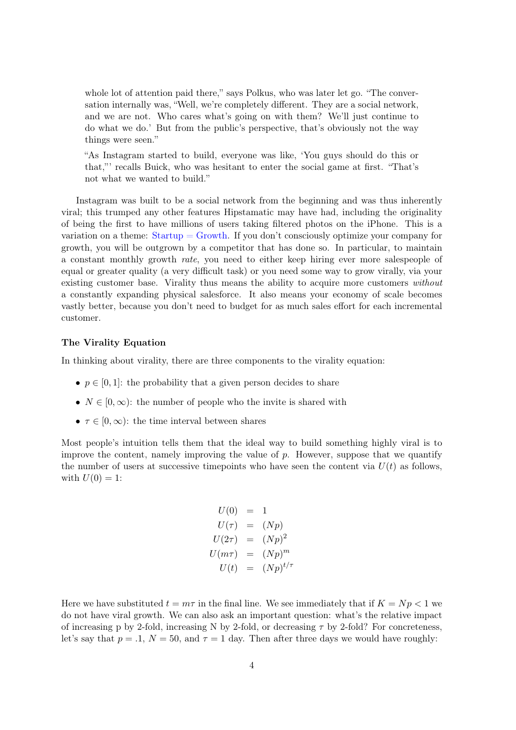whole lot of attention paid there," says Polkus, who was later let go. "The conversation internally was, "Well, we're completely different. They are a social network, and we are not. Who cares what's going on with them? We'll just continue to do what we do.' But from the public's perspective, that's obviously not the way things were seen."

"As Instagram started to build, everyone was like, 'You guys should do this or that,"' recalls Buick, who was hesitant to enter the social game at first. "That's not what we wanted to build."

Instagram was built to be a social network from the beginning and was thus inherently viral; this trumped any other features Hipstamatic may have had, including the originality of being the first to have millions of users taking filtered photos on the iPhone. This is a variation on a theme:  $Startup = Growth$ . If you don't consciously optimize your company for growth, you will be outgrown by a competitor that has done so. In particular, to maintain a constant monthly growth rate, you need to either keep hiring ever more salespeople of equal or greater quality (a very difficult task) or you need some way to grow virally, via your existing customer base. Virality thus means the ability to acquire more customers without a constantly expanding physical salesforce. It also means your economy of scale becomes vastly better, because you don't need to budget for as much sales effort for each incremental customer.

### The Virality Equation

In thinking about virality, there are three components to the virality equation:

- $p \in [0, 1]$ : the probability that a given person decides to share
- $N \in [0, \infty)$ : the number of people who the invite is shared with
- $\tau \in [0, \infty)$ : the time interval between shares

Most people's intuition tells them that the ideal way to build something highly viral is to improve the content, namely improving the value of  $p$ . However, suppose that we quantify the number of users at successive timepoints who have seen the content via  $U(t)$  as follows, with  $U(0) = 1$ :

$$
U(0) = 1
$$
  
\n
$$
U(\tau) = (Np)
$$
  
\n
$$
U(2\tau) = (Np)^2
$$
  
\n
$$
U(m\tau) = (Np)^m
$$
  
\n
$$
U(t) = (Np)^{t/\tau}
$$

Here we have substituted  $t = m\tau$  in the final line. We see immediately that if  $K = Np < 1$  we do not have viral growth. We can also ask an important question: what's the relative impact of increasing p by 2-fold, increasing N by 2-fold, or decreasing  $\tau$  by 2-fold? For concreteness, let's say that  $p = 0.1$ ,  $N = 50$ , and  $\tau = 1$  day. Then after three days we would have roughly: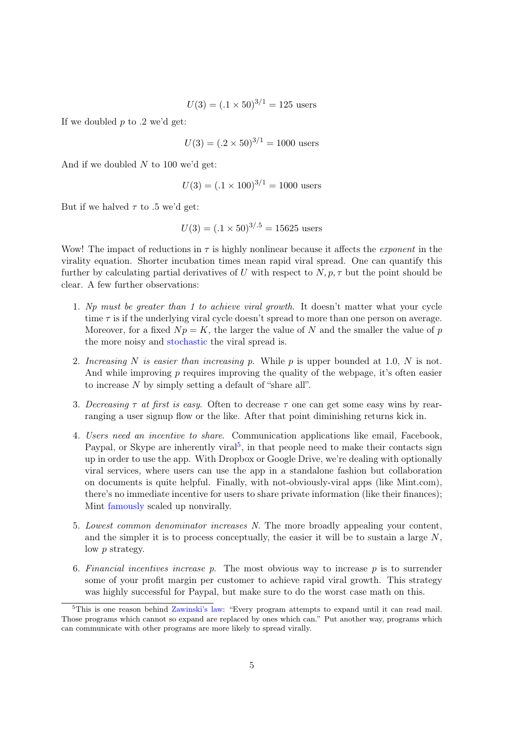$$
U(3) = (0.1 \times 50)^{3/1} = 125
$$
 users

If we doubled  $p$  to .2 we'd get:

 $U(3) = (0.2 \times 50)^{3/1} = 1000$  users

And if we doubled  $N$  to 100 we'd get:

$$
U(3) = (.1 \times 100)^{3/1} = 1000
$$
 users

But if we halved  $\tau$  to .5 we'd get:

$$
U(3) = (0.1 \times 50)^{3/5} = 15625
$$
 users

Wow! The impact of reductions in  $\tau$  is highly nonlinear because it affects the *exponent* in the virality equation. Shorter incubation times mean rapid viral spread. One can quantify this further by calculating partial derivatives of U with respect to  $N, p, \tau$  but the point should be clear. A few further observations:

- 1. Np must be greater than 1 to achieve viral growth. It doesn't matter what your cycle time  $\tau$  is if the underlying viral cycle doesn't spread to more than one person on average. Moreover, for a fixed  $Np = K$ , the larger the value of N and the smaller the value of p the more noisy and [stochastic](http://goo.gl/2VXPPb) the viral spread is.
- 2. Increasing N is easier than increasing p. While p is upper bounded at 1.0, N is not. And while improving  $p$  requires improving the quality of the webpage, it's often easier to increase N by simply setting a default of "share all".
- 3. Decreasing  $\tau$  at first is easy. Often to decrease  $\tau$  one can get some easy wins by rearranging a user signup flow or the like. After that point diminishing returns kick in.
- 4. Users need an incentive to share. Communication applications like email, Facebook, Paypal, or Skype are inherently viral<sup>[5](#page-4-0)</sup>, in that people need to make their contacts sign up in order to use the app. With Dropbox or Google Drive, we're dealing with optionally viral services, where users can use the app in a standalone fashion but collaboration on documents is quite helpful. Finally, with not-obviously-viral apps (like Mint.com), there's no immediate incentive for users to share private information (like their finances); Mint [famously](http://www.quora.com/How-did-Mint-acquire-1-0m%2B-users-without-a-high-viral-coefficient-scalable-SEO-strategy-or-paid-customer-acquisition-channel) scaled up nonvirally.
- 5. Lowest common denominator increases N. The more broadly appealing your content, and the simpler it is to process conceptually, the easier it will be to sustain a large  $N$ , low p strategy.
- 6. Financial incentives increase p. The most obvious way to increase  $p$  is to surrender some of your profit margin per customer to achieve rapid viral growth. This strategy was highly successful for Paypal, but make sure to do the worst case math on this.

<span id="page-4-0"></span><sup>&</sup>lt;sup>5</sup>This is one reason behind [Zawinski's law:](http://www.catb.org/jargon/html/Z/Zawinskis-Law.html) "Every program attempts to expand until it can read mail. Those programs which cannot so expand are replaced by ones which can." Put another way, programs which can communicate with other programs are more likely to spread virally.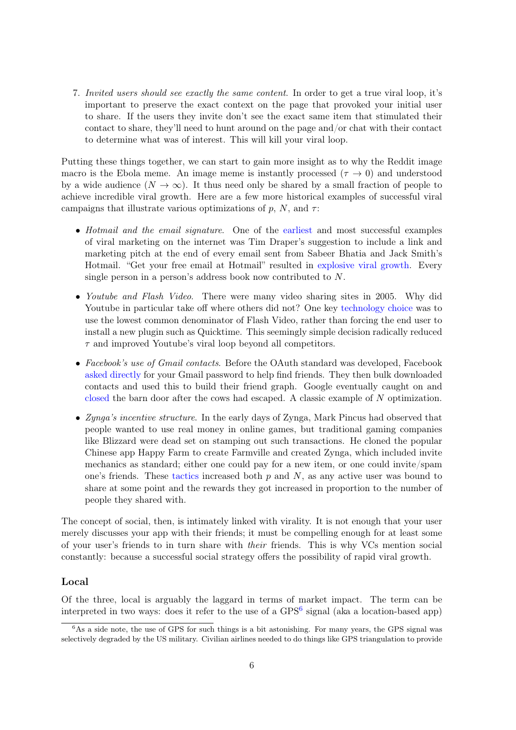7. Invited users should see exactly the same content. In order to get a true viral loop, it's important to preserve the exact context on the page that provoked your initial user to share. If the users they invite don't see the exact same item that stimulated their contact to share, they'll need to hunt around on the page and/or chat with their contact to determine what was of interest. This will kill your viral loop.

Putting these things together, we can start to gain more insight as to why the Reddit image macro is the Ebola meme. An image meme is instantly processed ( $\tau \to 0$ ) and understood by a wide audience  $(N \to \infty)$ . It thus need only be shared by a small fraction of people to achieve incredible viral growth. Here are a few more historical examples of successful viral campaigns that illustrate various optimizations of p, N, and  $\tau$ :

- Hotmail and the email signature. One of the [earliest](http://www.dfj.com/news/article_26.shtml) and most successful examples of viral marketing on the internet was Tim Draper's suggestion to include a link and marketing pitch at the end of every email sent from Sabeer Bhatia and Jack Smith's Hotmail. "Get your free email at Hotmail" resulted in [explosive viral growth.](http://www.viralblog.com/research-cases/how-hotmail-became-a-viral-hit-once/) Every single person in a person's address book now contributed to N.
- Youtube and Flash Video. There were many video sharing sites in 2005. Why did Youtube in particular take off where others did not? One key [technology choice](http://www.codinghorror.com/blog/2006/12/did-youtube-cut-the-gordian-knot-of-video-codecs.html) was to use the lowest common denominator of Flash Video, rather than forcing the end user to install a new plugin such as Quicktime. This seemingly simple decision radically reduced  $\tau$  and improved Youtube's viral loop beyond all competitors.
- Facebook's use of Gmail contacts. Before the OAuth standard was developed, Facebook [asked directly](http://factoryjoe.com/blog/2007/12/19/public-nuisance-1-importing-your-contacts/) for your Gmail password to help find friends. They then bulk downloaded contacts and used this to build their friend graph. Google eventually caught on and [closed](http://searchenginewatch.com/article/2050429/Google-to-Block-Facebooks-Access-to-Gmail-Contacts) the barn door after the cows had escaped. A classic example of N optimization.
- Zynga's incentive structure. In the early days of Zynga, Mark Pincus had observed that people wanted to use real money in online games, but traditional gaming companies like Blizzard were dead set on stamping out such transactions. He cloned the popular Chinese app Happy Farm to create Farmville and created Zynga, which included invite mechanics as standard; either one could pay for a new item, or one could invite/spam one's friends. These [tactics](http://amit.io/blog/2010/06/17/8-lessons-learned-from-zynga-about-virality/) increased both  $p$  and  $N$ , as any active user was bound to share at some point and the rewards they got increased in proportion to the number of people they shared with.

The concept of social, then, is intimately linked with virality. It is not enough that your user merely discusses your app with their friends; it must be compelling enough for at least some of your user's friends to in turn share with their friends. This is why VCs mention social constantly: because a successful social strategy offers the possibility of rapid viral growth.

## Local

Of the three, local is arguably the laggard in terms of market impact. The term can be interpreted in two ways: does it refer to the use of a GPS<sup>[6](#page-5-0)</sup> signal (aka a location-based app)

<span id="page-5-0"></span> $6$ As a side note, the use of GPS for such things is a bit astonishing. For many years, the GPS signal was selectively degraded by the US military. Civilian airlines needed to do things like GPS triangulation to provide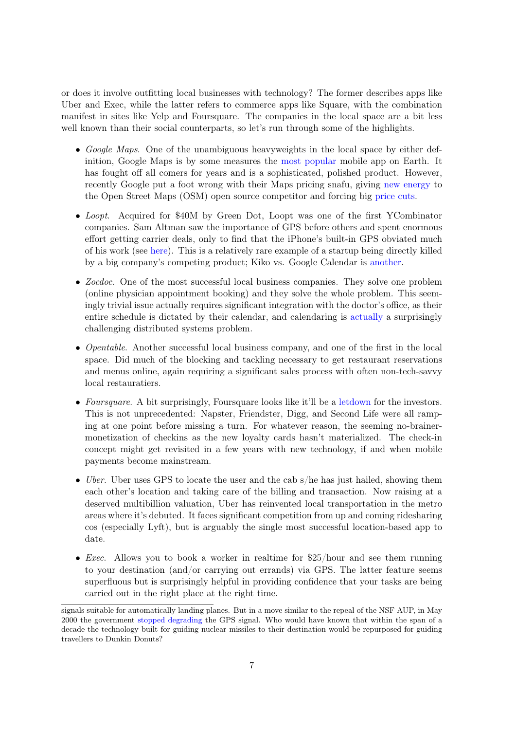or does it involve outfitting local businesses with technology? The former describes apps like Uber and Exec, while the latter refers to commerce apps like Square, with the combination manifest in sites like Yelp and Foursquare. The companies in the local space are a bit less well known than their social counterparts, so let's run through some of the highlights.

- Google Maps. One of the unambiguous heavyweights in the local space by either definition, Google Maps is by some measures the [most popular](http://www.complex.com/tech/2013/08/google-maps-most-used-app) mobile app on Earth. It has fought off all comers for years and is a sophisticated, polished product. However, recently Google put a foot wrong with their Maps pricing snafu, giving [new energy](http://www.techspot.com/news/48093-wikipedia-ditches-google-maps-for-openstreetmaps-after-price-change.html) to the Open Street Maps (OSM) open source competitor and forcing big [price cuts.](http://techcrunch.com/2012/06/22/google-maps-api-gets-massive-price-cut-in-the-wake-of-developer-defections/)
- Loopt. Acquired for \$40M by Green Dot, Loopt was one of the first YCombinator companies. Sam Altman saw the importance of GPS before others and spent enormous effort getting carrier deals, only to find that the iPhone's built-in GPS obviated much of his work (see [here\)](http://jmtame.posthaven.com/an-acquisition-rarely-starts-out-looking-like-one). This is a relatively rare example of a startup being directly killed by a big company's competing product; Kiko vs. Google Calendar is [another.](http://www.joyent.com/blog/some-seed-fell-on-rocky-ground-laffaire-kiko)
- *Zocdoc*. One of the most successful local business companies. They solve one problem (online physician appointment booking) and they solve the whole problem. This seemingly trivial issue actually requires significant integration with the doctor's office, as their entire schedule is dictated by their calendar, and calendaring is [actually](http://algeri-wong.com/yishan/great-unsolved-problems-in-computer-science.html) a surprisingly challenging distributed systems problem.
- *Opentable.* Another successful local business company, and one of the first in the local space. Did much of the blocking and tackling necessary to get restaurant reservations and menus online, again requiring a significant sales process with often non-tech-savvy local restauratiers.
- Foursquare. A bit surprisingly, Foursquare looks like it'll be a [letdown](http://www.wired.com/business/2013/04/foursquares-debt/) for the investors. This is not unprecedented: Napster, Friendster, Digg, and Second Life were all ramping at one point before missing a turn. For whatever reason, the seeming no-brainermonetization of checkins as the new loyalty cards hasn't materialized. The check-in concept might get revisited in a few years with new technology, if and when mobile payments become mainstream.
- Uber. Uber uses GPS to locate the user and the cab s/he has just hailed, showing them each other's location and taking care of the billing and transaction. Now raising at a deserved multibillion valuation, Uber has reinvented local transportation in the metro areas where it's debuted. It faces significant competition from up and coming ridesharing cos (especially Lyft), but is arguably the single most successful location-based app to date.
- *Exec.* Allows you to book a worker in realtime for \$25/hour and see them running to your destination (and/or carrying out errands) via GPS. The latter feature seems superfluous but is surprisingly helpful in providing confidence that your tasks are being carried out in the right place at the right time.

signals suitable for automatically landing planes. But in a move similar to the repeal of the NSF AUP, in May 2000 the government [stopped degrading](http://www.gps.gov/systems/gps/modernization/sa/) the GPS signal. Who would have known that within the span of a decade the technology built for guiding nuclear missiles to their destination would be repurposed for guiding travellers to Dunkin Donuts?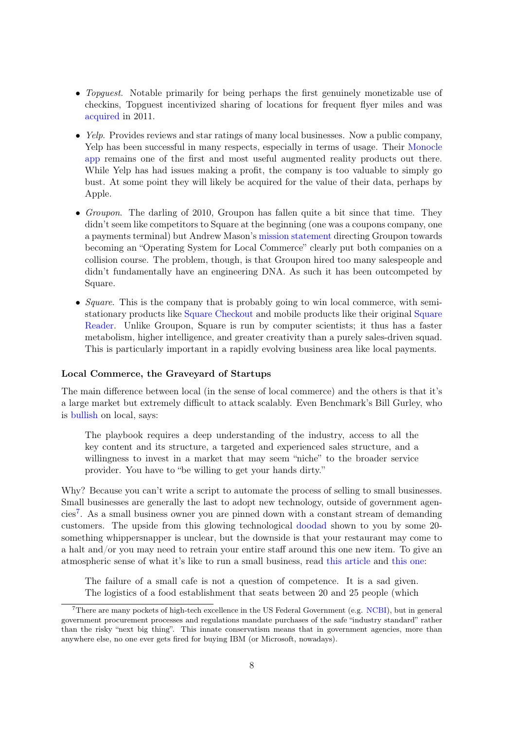- *Topguest.* Notable primarily for being perhaps the first genuinely monetizable use of checkins, Topguest incentivized sharing of locations for frequent flyer miles and was [acquired](http://techcrunch.com/2011/12/13/erez-topguest/) in 2011.
- $\bullet$  Yelp. Provides reviews and star ratings of many local businesses. Now a public company, Yelp has been successful in many respects, especially in terms of usage. Their [Monocle](http://mashable.com/2009/08/27/yelp-augmented-reality/) [app](http://mashable.com/2009/08/27/yelp-augmented-reality/) remains one of the first and most useful augmented reality products out there. While Yelp has had issues making a profit, the company is too valuable to simply go bust. At some point they will likely be acquired for the value of their data, perhaps by Apple.
- Groupon. The darling of 2010, Groupon has fallen quite a bit since that time. They didn't seem like competitors to Square at the beginning (one was a coupons company, one a payments terminal) but Andrew Mason's [mission statement](https://blog.groupon.com/cities/todays-stockholders-letter/) directing Groupon towards becoming an "Operating System for Local Commerce" clearly put both companies on a collision course. The problem, though, is that Groupon hired too many salespeople and didn't fundamentally have an engineering DNA. As such it has been outcompeted by Square.
- Square. This is the company that is probably going to win local commerce, with semistationary products like [Square Checkout](https://squareup.com/stand/shop) and mobile products like their original [Square](https://squareup.com/reader) [Reader.](https://squareup.com/reader) Unlike Groupon, Square is run by computer scientists; it thus has a faster metabolism, higher intelligence, and greater creativity than a purely sales-driven squad. This is particularly important in a rapidly evolving business area like local payments.

#### Local Commerce, the Graveyard of Startups

The main difference between local (in the sense of local commerce) and the others is that it's a large market but extremely difficult to attack scalably. Even Benchmark's Bill Gurley, who is [bullish](http://abovethecrowd.com/2012/06/25/social-mobile-local-local-will-be-the-biggest-of-the-three/) on local, says:

The playbook requires a deep understanding of the industry, access to all the key content and its structure, a targeted and experienced sales structure, and a willingness to invest in a market that may seem "niche" to the broader service provider. You have to "be willing to get your hands dirty."

Why? Because you can't write a script to automate the process of selling to small businesses. Small businesses are generally the last to adopt new technology, outside of government agencies[7](#page-7-0) . As a small business owner you are pinned down with a constant stream of demanding customers. The upside from this glowing technological [doodad](http://www.impulseman.com/wp-content/uploads/2012/01/fa1f2__levelup3.jpg) shown to you by some 20 something whippersnapper is unclear, but the downside is that your restaurant may come to a halt and/or you may need to retrain your entire staff around this one new item. To give an atmospheric sense of what it's like to run a small business, read [this article](http://www.slate.com/articles/life/a_fine_whine/2005/12/bitter_brew.html) and [this one:](http://www.justinkownacki.com/2009/11/12/10-tips-for-running-a-successful-coffee-shop/)

The failure of a small cafe is not a question of competence. It is a sad given. The logistics of a food establishment that seats between 20 and 25 people (which

<span id="page-7-0"></span><sup>7</sup>There are many pockets of high-tech excellence in the US Federal Government (e.g. [NCBI\)](http://ncbi.nlm.nih.gov), but in general government procurement processes and regulations mandate purchases of the safe "industry standard" rather than the risky "next big thing". This innate conservatism means that in government agencies, more than anywhere else, no one ever gets fired for buying IBM (or Microsoft, nowadays).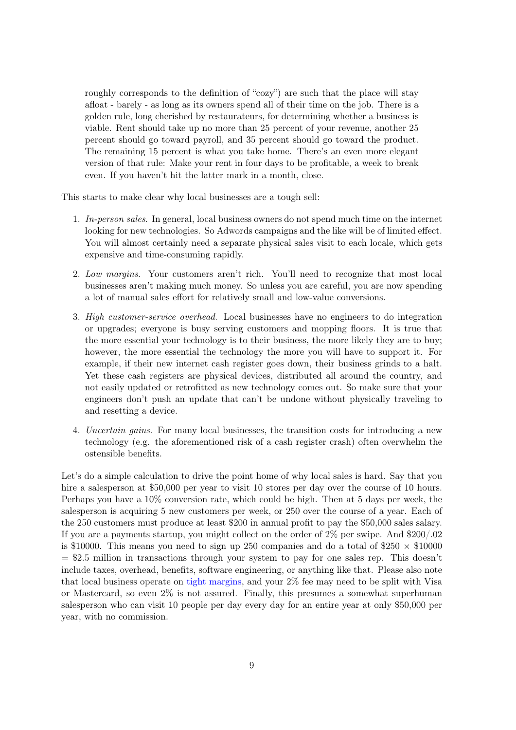roughly corresponds to the definition of "cozy") are such that the place will stay afloat - barely - as long as its owners spend all of their time on the job. There is a golden rule, long cherished by restaurateurs, for determining whether a business is viable. Rent should take up no more than 25 percent of your revenue, another 25 percent should go toward payroll, and 35 percent should go toward the product. The remaining 15 percent is what you take home. There's an even more elegant version of that rule: Make your rent in four days to be profitable, a week to break even. If you haven't hit the latter mark in a month, close.

This starts to make clear why local businesses are a tough sell:

- 1. In-person sales. In general, local business owners do not spend much time on the internet looking for new technologies. So Adwords campaigns and the like will be of limited effect. You will almost certainly need a separate physical sales visit to each locale, which gets expensive and time-consuming rapidly.
- 2. Low margins. Your customers aren't rich. You'll need to recognize that most local businesses aren't making much money. So unless you are careful, you are now spending a lot of manual sales effort for relatively small and low-value conversions.
- 3. High customer-service overhead. Local businesses have no engineers to do integration or upgrades; everyone is busy serving customers and mopping floors. It is true that the more essential your technology is to their business, the more likely they are to buy; however, the more essential the technology the more you will have to support it. For example, if their new internet cash register goes down, their business grinds to a halt. Yet these cash registers are physical devices, distributed all around the country, and not easily updated or retrofitted as new technology comes out. So make sure that your engineers don't push an update that can't be undone without physically traveling to and resetting a device.
- 4. Uncertain gains. For many local businesses, the transition costs for introducing a new technology (e.g. the aforementioned risk of a cash register crash) often overwhelm the ostensible benefits.

Let's do a simple calculation to drive the point home of why local sales is hard. Say that you hire a salesperson at \$50,000 per year to visit 10 stores per day over the course of 10 hours. Perhaps you have a 10% conversion rate, which could be high. Then at 5 days per week, the salesperson is acquiring 5 new customers per week, or 250 over the course of a year. Each of the 250 customers must produce at least \$200 in annual profit to pay the \$50,000 sales salary. If you are a payments startup, you might collect on the order of 2% per swipe. And \$200/.02 is \$10000. This means you need to sign up 250 companies and do a total of  $250 \times $10000$  $= $2.5$  million in transactions through your system to pay for one sales rep. This doesn't include taxes, overhead, benefits, software engineering, or anything like that. Please also note that local business operate on [tight margins,](http://smallbusiness.chron.com/average-profit-margin-small-business-23368.html) and your 2% fee may need to be split with Visa or Mastercard, so even 2% is not assured. Finally, this presumes a somewhat superhuman salesperson who can visit 10 people per day every day for an entire year at only \$50,000 per year, with no commission.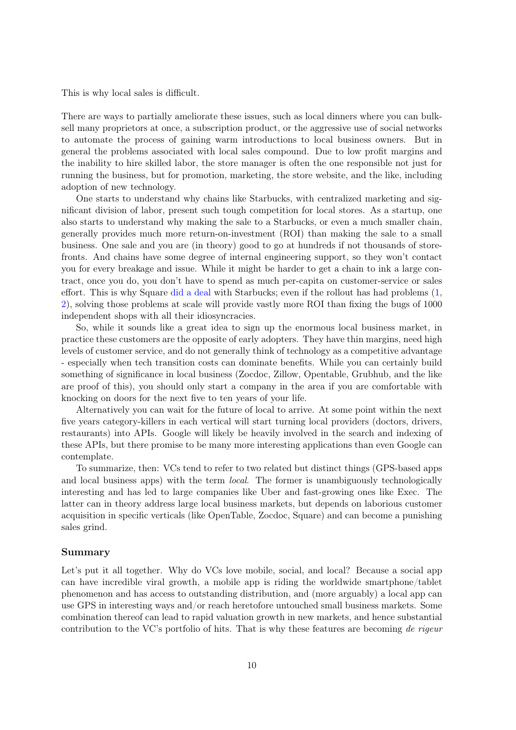This is why local sales is difficult.

There are ways to partially ameliorate these issues, such as local dinners where you can bulksell many proprietors at once, a subscription product, or the aggressive use of social networks to automate the process of gaining warm introductions to local business owners. But in general the problems associated with local sales compound. Due to low profit margins and the inability to hire skilled labor, the store manager is often the one responsible not just for running the business, but for promotion, marketing, the store website, and the like, including adoption of new technology.

One starts to understand why chains like Starbucks, with centralized marketing and significant division of labor, present such tough competition for local stores. As a startup, one also starts to understand why making the sale to a Starbucks, or even a much smaller chain, generally provides much more return-on-investment (ROI) than making the sale to a small business. One sale and you are (in theory) good to go at hundreds if not thousands of storefronts. And chains have some degree of internal engineering support, so they won't contact you for every breakage and issue. While it might be harder to get a chain to ink a large contract, once you do, you don't have to spend as much per-capita on customer-service or sales effort. This is why Square [did a deal](http://bits.blogs.nytimes.com/2013/01/03/starbucks-square-mobile-credit-card-reader/) with Starbucks; even if the rollout has had problems [\(1,](http://www.fastcompany.com/3005410/industries-watch/starbuckss-shoddy-square-rollout-baffles-baristas-confuses-customers) [2\)](http://www.fastcompany.com/3007277/tech-forecast/starbucks-execs-respond-square-criticism-innovation-messy), solving those problems at scale will provide vastly more ROI than fixing the bugs of 1000 independent shops with all their idiosyncracies.

So, while it sounds like a great idea to sign up the enormous local business market, in practice these customers are the opposite of early adopters. They have thin margins, need high levels of customer service, and do not generally think of technology as a competitive advantage - especially when tech transition costs can dominate benefits. While you can certainly build something of significance in local business (Zocdoc, Zillow, Opentable, Grubhub, and the like are proof of this), you should only start a company in the area if you are comfortable with knocking on doors for the next five to ten years of your life.

Alternatively you can wait for the future of local to arrive. At some point within the next five years category-killers in each vertical will start turning local providers (doctors, drivers, restaurants) into APIs. Google will likely be heavily involved in the search and indexing of these APIs, but there promise to be many more interesting applications than even Google can contemplate.

To summarize, then: VCs tend to refer to two related but distinct things (GPS-based apps and local business apps) with the term *local*. The former is unambiguously technologically interesting and has led to large companies like Uber and fast-growing ones like Exec. The latter can in theory address large local business markets, but depends on laborious customer acquisition in specific verticals (like OpenTable, Zocdoc, Square) and can become a punishing sales grind.

### Summary

Let's put it all together. Why do VCs love mobile, social, and local? Because a social app can have incredible viral growth, a mobile app is riding the worldwide smartphone/tablet phenomenon and has access to outstanding distribution, and (more arguably) a local app can use GPS in interesting ways and/or reach heretofore untouched small business markets. Some combination thereof can lead to rapid valuation growth in new markets, and hence substantial contribution to the VC's portfolio of hits. That is why these features are becoming de rigeur